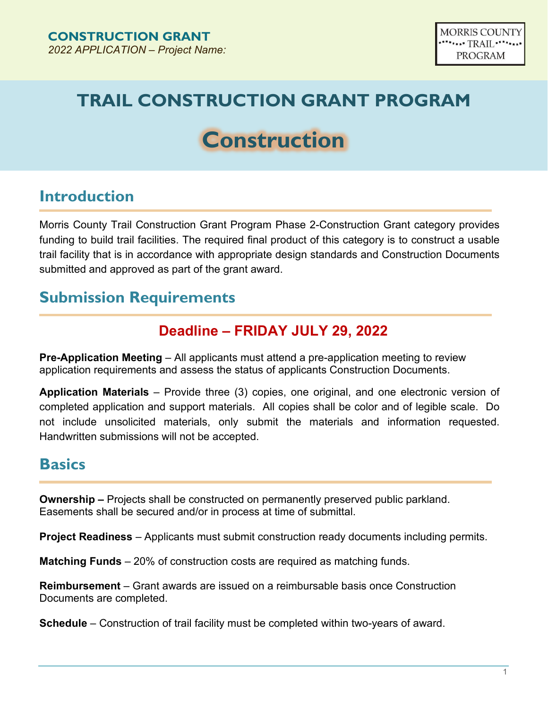# **TRAIL CONSTRUCTION GRANT PROGRAM**

# **Construction**

#### **Introduction**

Morris County Trail Construction Grant Program Phase 2-Construction Grant category provides funding to build trail facilities. The required final product of this category is to construct a usable trail facility that is in accordance with appropriate design standards and Construction Documents submitted and approved as part of the grant award.

#### **Submission Requirements**

#### **Deadline – FRIDAY JULY 29, 2022**

**Pre-Application Meeting** – All applicants must attend a pre-application meeting to review application requirements and assess the status of applicants Construction Documents.

**Application Materials** – Provide three (3) copies, one original, and one electronic version of completed application and support materials. All copies shall be color and of legible scale. Do not include unsolicited materials, only submit the materials and information requested. Handwritten submissions will not be accepted.

#### **Basics**

**Ownership –** Projects shall be constructed on permanently preserved public parkland. Easements shall be secured and/or in process at time of submittal.

**Project Readiness** – Applicants must submit construction ready documents including permits.

**Matching Funds** – 20% of construction costs are required as matching funds.

**Reimbursement** – Grant awards are issued on a reimbursable basis once Construction Documents are completed.

**Schedule** – Construction of trail facility must be completed within two-years of award.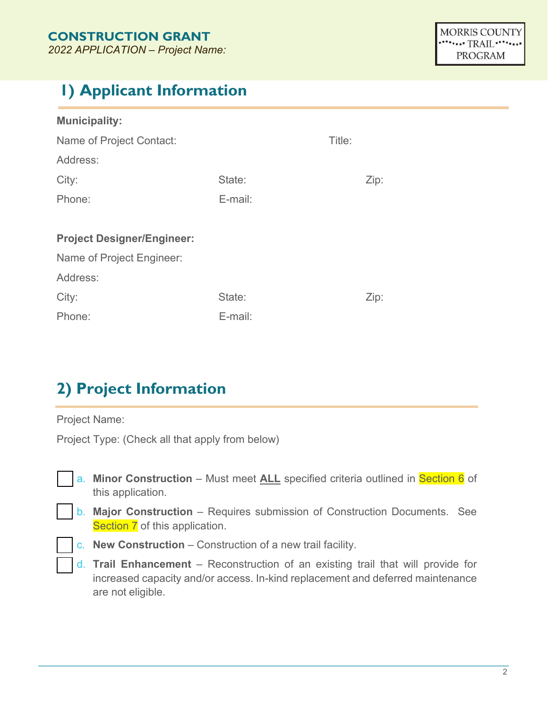## **1) Applicant Information**

| <b>Municipality:</b>              |         |        |      |  |
|-----------------------------------|---------|--------|------|--|
| Name of Project Contact:          |         | Title: |      |  |
| Address:                          |         |        |      |  |
| City:                             | State:  |        | Zip: |  |
| Phone:                            | E-mail: |        |      |  |
|                                   |         |        |      |  |
| <b>Project Designer/Engineer:</b> |         |        |      |  |
| Name of Project Engineer:         |         |        |      |  |
| Address:                          |         |        |      |  |
| City:                             | State:  |        | Zip: |  |
| E-mail:<br>Phone:                 |         |        |      |  |

## **2) Project Information**

Project Name:

Project Type: (Check all that apply from below)

- a. **Minor Construction** Must meet **ALL** specified criteria outlined in Section 6 of this application.
- b. **Major Construction** Requires submission of Construction Documents. See Section 7 of this application.
	- c. **New Construction**  Construction of a new trail facility.
	- d. **Trail Enhancement**  Reconstruction of an existing trail that will provide for increased capacity and/or access. In-kind replacement and deferred maintenance are not eligible.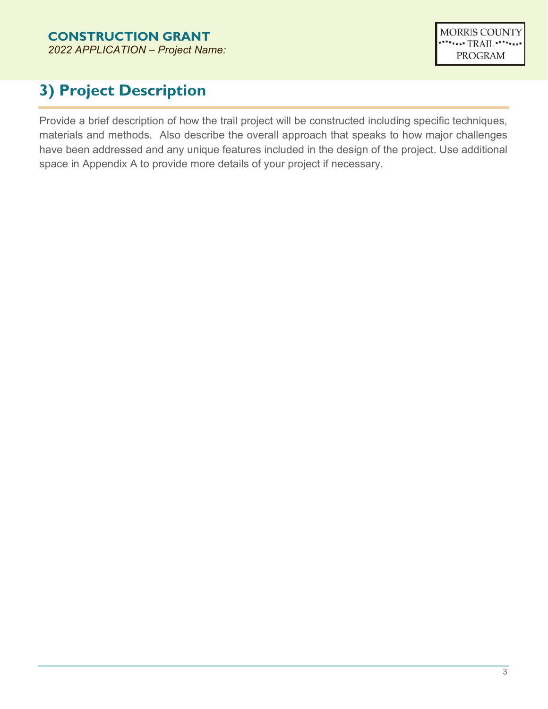# **3) Project Description**

Provide a brief description of how the trail project will be constructed including specific techniques, materials and methods. Also describe the overall approach that speaks to how major challenges have been addressed and any unique features included in the design of the project. Use additional space in Appendix A to provide more details of your project if necessary.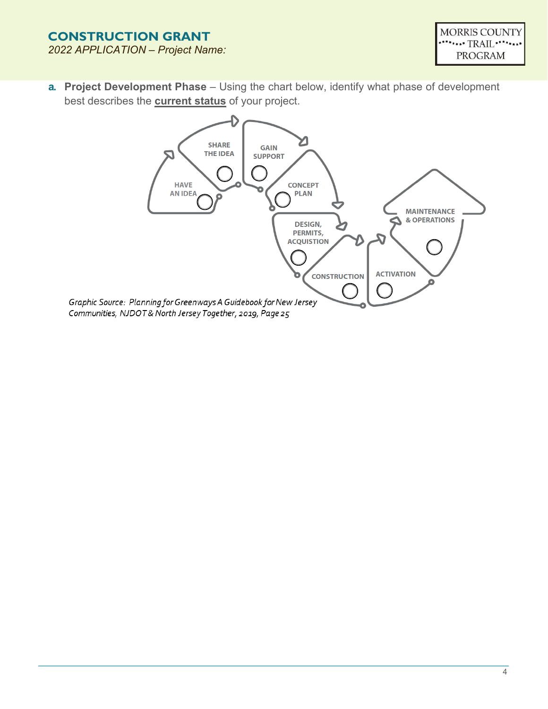**a. Project Development Phase** – Using the chart below, identify what phase of development best describes the **current status** of your project.

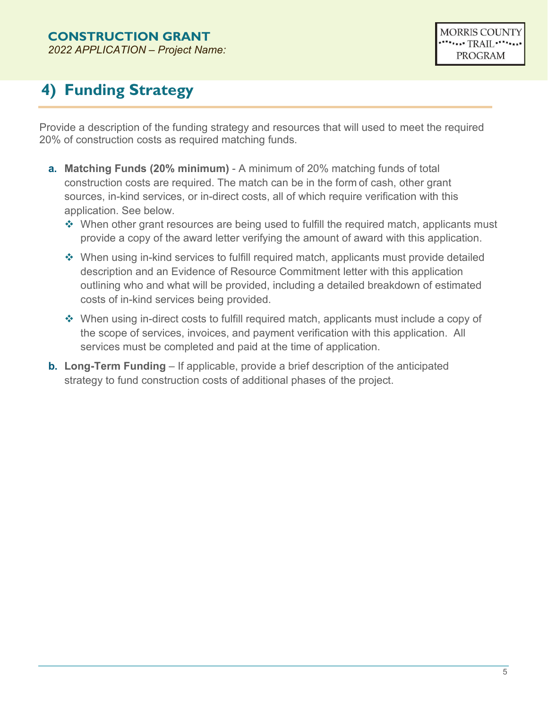# **4) Funding Strategy**

Provide a description of the funding strategy and resources that will used to meet the required 20% of construction costs as required matching funds.

- **a. Matching Funds (20% minimum)** A minimum of 20% matching funds of total construction costs are required. The match can be in the form of cash, other grant sources, in-kind services, or in-direct costs, all of which require verification with this application. See below.
	- $\cdot$  When other grant resources are being used to fulfill the required match, applicants must provide a copy of the award letter verifying the amount of award with this application.
	- When using in-kind services to fulfill required match, applicants must provide detailed description and an Evidence of Resource Commitment letter with this application outlining who and what will be provided, including a detailed breakdown of estimated costs of in-kind services being provided.
	- When using in-direct costs to fulfill required match, applicants must include a copy of the scope of services, invoices, and payment verification with this application. All services must be completed and paid at the time of application.
- **b. Long-Term Funding** If applicable, provide a brief description of the anticipated strategy to fund construction costs of additional phases of the project.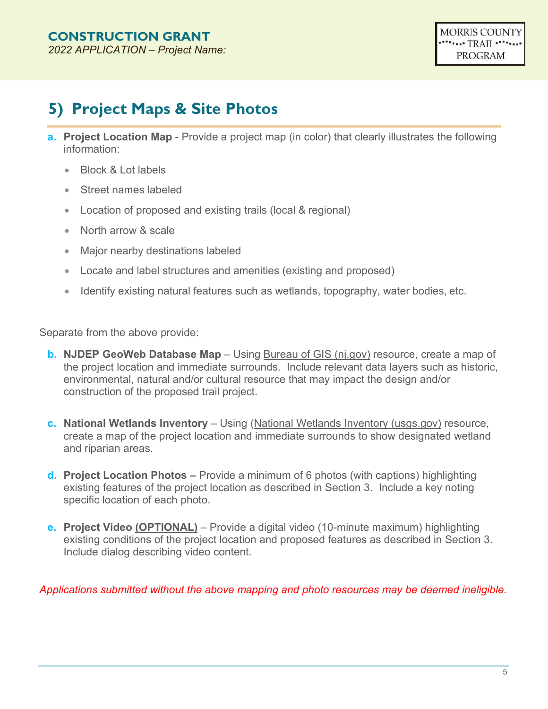## **5) Project Maps & Site Photos**

- **a. Project Location Map** Provide a project map (in color) that clearly illustrates the following information:
	- Block & Lot labels
	- Street names labeled
	- Location of proposed and existing trails (local & regional)
	- North arrow & scale
	- Major nearby destinations labeled
	- Locate and label structures and amenities (existing and proposed)
	- Identify existing natural features such as wetlands, topography, water bodies, etc.

Separate from the above provide:

- **b. NJDEP GeoWeb Database Map** Using [Bureau of GIS \(nj.gov\)](https://www.nj.gov/dep/gis/geowebsplash.htm) resource, create a map of the project location and immediate surrounds. Include relevant data layers such as historic, environmental, natural and/or cultural resource that may impact the design and/or construction of the proposed trail project.
- **c. National Wetlands Inventory** Using [\(National Wetlands Inventory \(usgs.gov\)](https://fwsprimary.wim.usgs.gov/wetlands/apps/wetlands-mapper/) resource, create a map of the project location and immediate surrounds to show designated wetland and riparian areas.
- **d. Project Location Photos** Provide a minimum of 6 photos (with captions) highlighting existing features of the project location as described in Section 3. Include a key noting specific location of each photo.
- **e. Project Video (OPTIONAL)** Provide a digital video (10-minute maximum) highlighting existing conditions of the project location and proposed features as described in Section 3. Include dialog describing video content.

*Applications submitted without the above mapping and photo resources may be deemed ineligible.*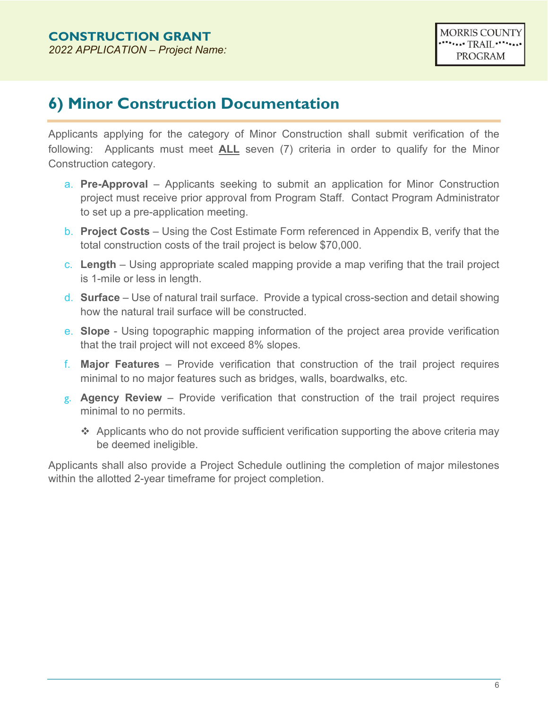#### **6) Minor Construction Documentation**

Applicants applying for the category of Minor Construction shall submit verification of the following: Applicants must meet **ALL** seven (7) criteria in order to qualify for the Minor Construction category.

- a. **Pre-Approval** Applicants seeking to submit an application for Minor Construction project must receive prior approval from Program Staff. Contact Program Administrator to set up a pre-application meeting.
- b. **Project Costs** Using the Cost Estimate Form referenced in Appendix B, verify that the total construction costs of the trail project is below \$70,000.
- c. **Length** Using appropriate scaled mapping provide a map verifing that the trail project is 1-mile or less in length.
- d. **Surface**  Use of natural trail surface. Provide a typical cross-section and detail showing how the natural trail surface will be constructed.
- e. **Slope** Using topographic mapping information of the project area provide verification that the trail project will not exceed 8% slopes.
- f. **Major Features**  Provide verification that construction of the trail project requires minimal to no major features such as bridges, walls, boardwalks, etc.
- g. **Agency Review**  Provide verification that construction of the trail project requires minimal to no permits.
	- $\triangleq$  Applicants who do not provide sufficient verification supporting the above criteria may be deemed ineligible.

Applicants shall also provide a Project Schedule outlining the completion of major milestones within the allotted 2-year timeframe for project completion.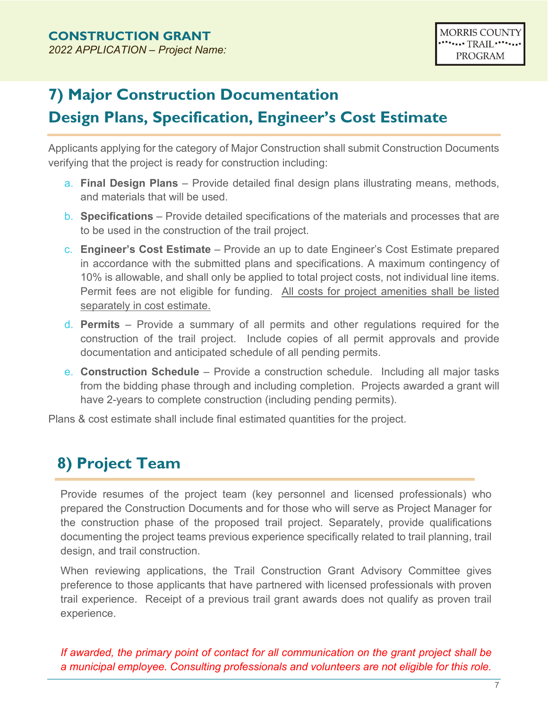# **7) Major Construction Documentation Design Plans, Specification, Engineer's Cost Estimate**

Applicants applying for the category of Major Construction shall submit Construction Documents verifying that the project is ready for construction including:

- a. **Final Design Plans** Provide detailed final design plans illustrating means, methods, and materials that will be used.
- b. **Specifications**  Provide detailed specifications of the materials and processes that are to be used in the construction of the trail project.
- c. **Engineer's Cost Estimate**  Provide an up to date Engineer's Cost Estimate prepared in accordance with the submitted plans and specifications. A maximum contingency of 10% is allowable, and shall only be applied to total project costs, not individual line items. Permit fees are not eligible for funding. All costs for project amenities shall be listed separately in cost estimate.
- d. **Permits**  Provide a summary of all permits and other regulations required for the construction of the trail project. Include copies of all permit approvals and provide documentation and anticipated schedule of all pending permits.
- e. **Construction Schedule** Provide a construction schedule. Including all major tasks from the bidding phase through and including completion. Projects awarded a grant will have 2-years to complete construction (including pending permits).

Plans & cost estimate shall include final estimated quantities for the project.

## **8) Project Team**

Provide resumes of the project team (key personnel and licensed professionals) who prepared the Construction Documents and for those who will serve as Project Manager for the construction phase of the proposed trail project. Separately, provide qualifications documenting the project teams previous experience specifically related to trail planning, trail design, and trail construction.

When reviewing applications, the Trail Construction Grant Advisory Committee gives preference to those applicants that have partnered with licensed professionals with proven trail experience. Receipt of a previous trail grant awards does not qualify as proven trail experience.

*If awarded, the primary point of contact for all communication on the grant project shall be a municipal employee. Consulting professionals and volunteers are not eligible for this role.*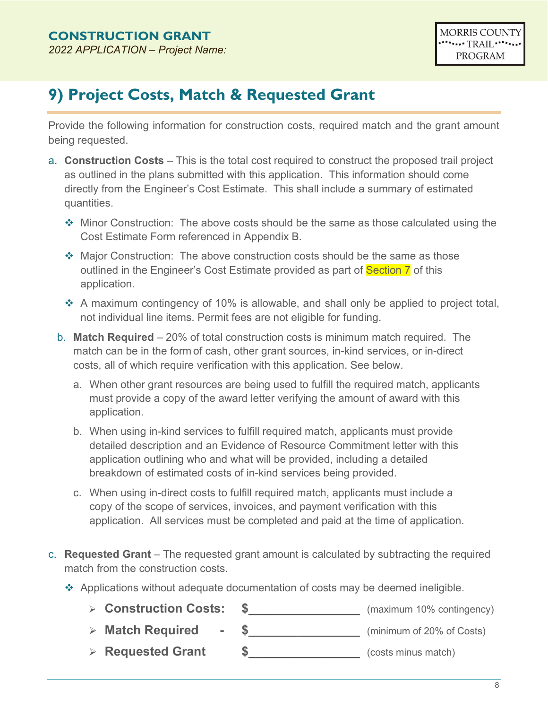#### **9) Project Costs, Match & Requested Grant**

Provide the following information for construction costs, required match and the grant amount being requested.

- a. **Construction Costs** This is the total cost required to construct the proposed trail project as outlined in the plans submitted with this application. This information should come directly from the Engineer's Cost Estimate. This shall include a summary of estimated quantities.
	- Minor Construction: The above costs should be the same as those calculated using the Cost Estimate Form referenced in Appendix B.
	- Major Construction: The above construction costs should be the same as those outlined in the Engineer's Cost Estimate provided as part of Section 7 of this application.
	- $\cdot$  A maximum contingency of 10% is allowable, and shall only be applied to project total, not individual line items. Permit fees are not eligible for funding.
	- b. **Match Required** 20% of total construction costs is minimum match required. The match can be in the form of cash, other grant sources, in-kind services, or in-direct costs, all of which require verification with this application. See below.
		- a. When other grant resources are being used to fulfill the required match, applicants must provide a copy of the award letter verifying the amount of award with this application.
		- b. When using in-kind services to fulfill required match, applicants must provide detailed description and an Evidence of Resource Commitment letter with this application outlining who and what will be provided, including a detailed breakdown of estimated costs of in-kind services being provided.
		- c. When using in-direct costs to fulfill required match, applicants must include a copy of the scope of services, invoices, and payment verification with this application. All services must be completed and paid at the time of application.
- c. **Requested Grant** The requested grant amount is calculated by subtracting the required match from the construction costs.
	- Applications without adequate documentation of costs may be deemed ineligible.
		- **Construction Costs: \$\_\_\_\_\_\_\_\_\_\_\_\_\_\_\_\_** (maximum 10% contingency)
		- > **Match Required \$** (minimum of 20% of Costs)
		- **Requested Grant \$\_\_\_\_\_\_\_\_\_\_\_\_\_\_\_\_** (costs minus match)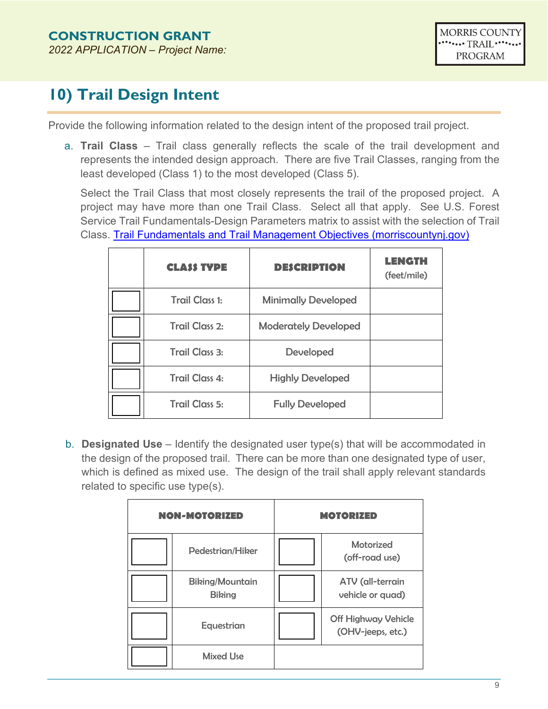## **10) Trail Design Intent**

Provide the following information related to the design intent of the proposed trail project.

a. **Trail Class** – Trail class generally reflects the scale of the trail development and represents the intended design approach. There are five Trail Classes, ranging from the least developed (Class 1) to the most developed (Class 5).

Select the Trail Class that most closely represents the trail of the proposed project. A project may have more than one Trail Class. Select all that apply. See U.S. Forest Service Trail Fundamentals-Design Parameters matrix to assist with the selection of Trail Class. [Trail Fundamentals and Trail Management Objectives \(morriscountynj.gov\)](https://www.morriscountynj.gov/files/sharedassets/public/departments/planning-amp-preservation-trail/1623-3801_trailfdmltmo_sec508_11-14-16_150dpi.pdf)

| <b>CLASS TYPE</b>     | <b>DESCRIPTION</b>          | LENGTH<br>(feet/mile) |
|-----------------------|-----------------------------|-----------------------|
| <b>Trail Class 1:</b> | <b>Minimally Developed</b>  |                       |
| <b>Trail Class 2:</b> | <b>Moderately Developed</b> |                       |
| <b>Trail Class 3:</b> | <b>Developed</b>            |                       |
| <b>Trail Class 4:</b> | <b>Highly Developed</b>     |                       |
| <b>Trail Class 5:</b> | <b>Fully Developed</b>      |                       |

b. **Designated Use** – Identify the designated user type(s) that will be accommodated in the design of the proposed trail. There can be more than one designated type of user, which is defined as mixed use. The design of the trail shall apply relevant standards related to specific use type(s).

| <b>NON-MOTORIZED</b>                    | <b>MOTORIZED</b>                                |
|-----------------------------------------|-------------------------------------------------|
| Pedestrian/Hiker                        | <b>Motorized</b><br>(off-road use)              |
| <b>Biking/Mountain</b><br><b>Biking</b> | ATV (all-terrain<br>vehicle or quad)            |
| Equestrian                              | <b>Off Highway Vehicle</b><br>(OHV-jeeps, etc.) |
| <b>Mixed Use</b>                        |                                                 |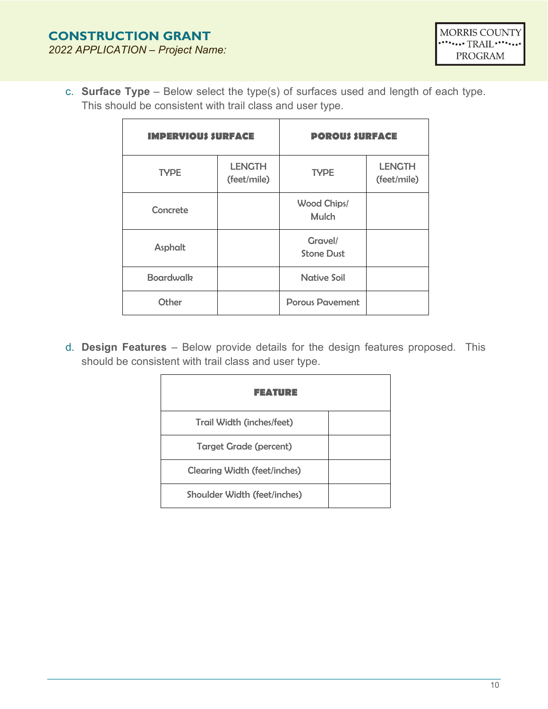c. **Surface Type** – Below select the type(s) of surfaces used and length of each type. This should be consistent with trail class and user type.

| <b>IMPERVIOUS SURFACE</b> |                              | <b>POROUS SURFACE</b>              |                              |
|---------------------------|------------------------------|------------------------------------|------------------------------|
| <b>TYPE</b>               | <b>LENGTH</b><br>(feet/mile) | <b>TYPE</b>                        | <b>LENGTH</b><br>(feet/mile) |
| Concrete                  |                              | <b>Wood Chips/</b><br><b>Mulch</b> |                              |
| Asphalt                   |                              | Gravel/<br><b>Stone Dust</b>       |                              |
| <b>Boardwalk</b>          |                              | <b>Native Soil</b>                 |                              |
| Other                     |                              | <b>Porous Pavement</b>             |                              |

d. **Design Features** – Below provide details for the design features proposed. This should be consistent with trail class and user type.

| FEATURE                             |  |
|-------------------------------------|--|
| Trail Width (inches/feet)           |  |
| <b>Target Grade (percent)</b>       |  |
| <b>Clearing Width (feet/inches)</b> |  |
| <b>Shoulder Width (feet/inches)</b> |  |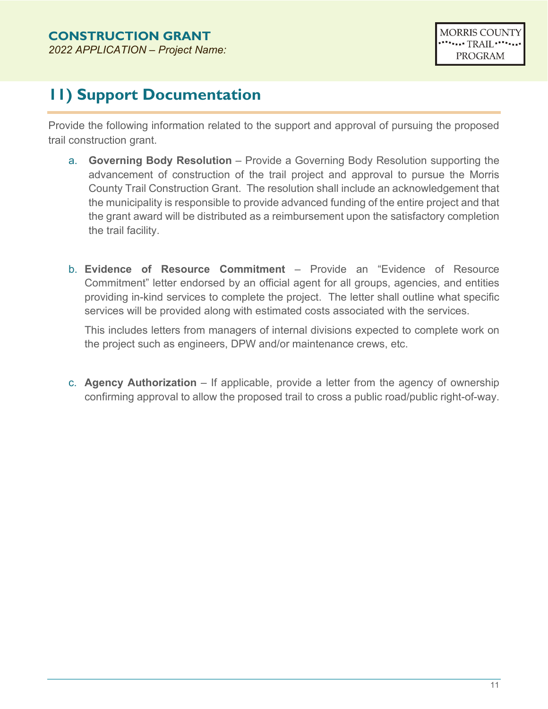# **11) Support Documentation**

Provide the following information related to the support and approval of pursuing the proposed trail construction grant.

- a. **Governing Body Resolution** Provide a Governing Body Resolution supporting the advancement of construction of the trail project and approval to pursue the Morris County Trail Construction Grant. The resolution shall include an acknowledgement that the municipality is responsible to provide advanced funding of the entire project and that the grant award will be distributed as a reimbursement upon the satisfactory completion the trail facility.
- b. **Evidence of Resource Commitment**  Provide an "Evidence of Resource Commitment" letter endorsed by an official agent for all groups, agencies, and entities providing in-kind services to complete the project. The letter shall outline what specific services will be provided along with estimated costs associated with the services.

This includes letters from managers of internal divisions expected to complete work on the project such as engineers, DPW and/or maintenance crews, etc.

c. **Agency Authorization** – If applicable, provide a letter from the agency of ownership confirming approval to allow the proposed trail to cross a public road/public right-of-way.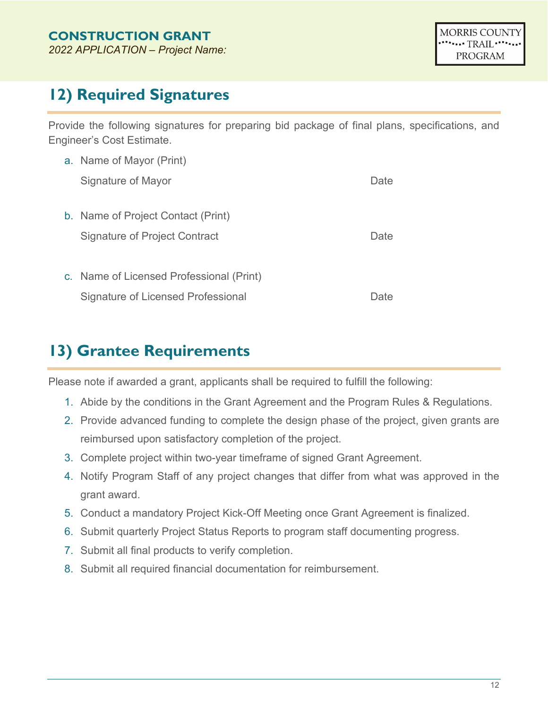## **12) Required Signatures**

Provide the following signatures for preparing bid package of final plans, specifications, and Engineer's Cost Estimate.

| a. Name of Mayor (Print)                 |       |  |
|------------------------------------------|-------|--|
| Signature of Mayor                       | Date  |  |
| b. Name of Project Contact (Print)       |       |  |
| <b>Signature of Project Contract</b>     | Date  |  |
|                                          |       |  |
| c. Name of Licensed Professional (Print) |       |  |
| Signature of Licensed Professional       | Date. |  |

## **13) Grantee Requirements**

Please note if awarded a grant, applicants shall be required to fulfill the following:

- 1. Abide by the conditions in the Grant Agreement and the Program Rules & Regulations.
- 2. Provide advanced funding to complete the design phase of the project, given grants are reimbursed upon satisfactory completion of the project.
- 3. Complete project within two-year timeframe of signed Grant Agreement.
- 4. Notify Program Staff of any project changes that differ from what was approved in the grant award.
- 5. Conduct a mandatory Project Kick-Off Meeting once Grant Agreement is finalized.
- 6. Submit quarterly Project Status Reports to program staff documenting progress.
- 7. Submit all final products to verify completion.
- 8. Submit all required financial documentation for reimbursement.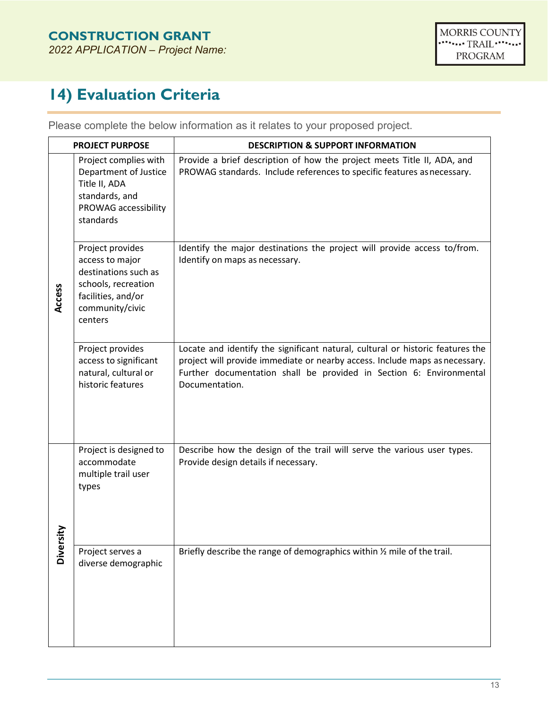# **14) Evaluation Criteria**

Please complete the below information as it relates to your proposed project.

|               | <b>PROJECT PURPOSE</b>                                                                                                                 | <b>DESCRIPTION &amp; SUPPORT INFORMATION</b>                                                                                                                                                                                                           |
|---------------|----------------------------------------------------------------------------------------------------------------------------------------|--------------------------------------------------------------------------------------------------------------------------------------------------------------------------------------------------------------------------------------------------------|
|               | Project complies with<br>Department of Justice<br>Title II, ADA<br>standards, and<br>PROWAG accessibility<br>standards                 | Provide a brief description of how the project meets Title II, ADA, and<br>PROWAG standards. Include references to specific features as necessary.                                                                                                     |
| Access        | Project provides<br>access to major<br>destinations such as<br>schools, recreation<br>facilities, and/or<br>community/civic<br>centers | Identify the major destinations the project will provide access to/from.<br>Identify on maps as necessary.                                                                                                                                             |
|               | Project provides<br>access to significant<br>natural, cultural or<br>historic features                                                 | Locate and identify the significant natural, cultural or historic features the<br>project will provide immediate or nearby access. Include maps as necessary.<br>Further documentation shall be provided in Section 6: Environmental<br>Documentation. |
|               | Project is designed to<br>accommodate<br>multiple trail user<br>types                                                                  | Describe how the design of the trail will serve the various user types.<br>Provide design details if necessary.                                                                                                                                        |
| <b>Divers</b> | Project serves a<br>diverse demographic                                                                                                | Briefly describe the range of demographics within 1/2 mile of the trail.                                                                                                                                                                               |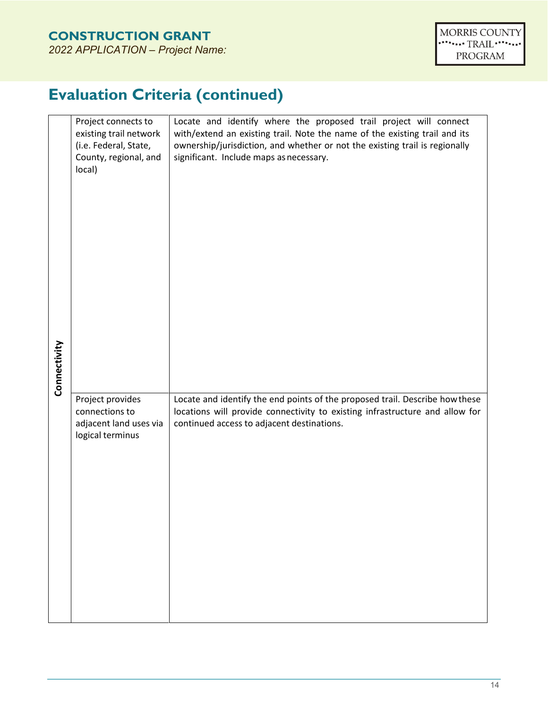# **Evaluation Criteria (continued)**

|              | Project connects to<br>existing trail network<br>(i.e. Federal, State,<br>County, regional, and<br>local) | Locate and identify where the proposed trail project will connect<br>with/extend an existing trail. Note the name of the existing trail and its<br>ownership/jurisdiction, and whether or not the existing trail is regionally<br>significant. Include maps as necessary. |
|--------------|-----------------------------------------------------------------------------------------------------------|---------------------------------------------------------------------------------------------------------------------------------------------------------------------------------------------------------------------------------------------------------------------------|
| Connectivity |                                                                                                           |                                                                                                                                                                                                                                                                           |
|              | Project provides<br>connections to<br>adjacent land uses via<br>logical terminus                          | Locate and identify the end points of the proposed trail. Describe how these<br>locations will provide connectivity to existing infrastructure and allow for<br>continued access to adjacent destinations.                                                                |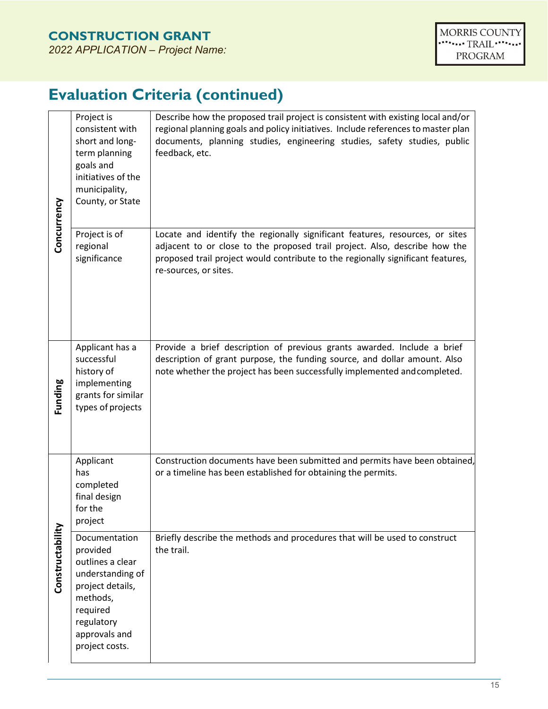# **Evaluation Criteria (continued)**

| Concurrency      | Project is<br>consistent with<br>short and long-<br>term planning<br>goals and<br>initiatives of the<br>municipality,<br>County, or State                      | Describe how the proposed trail project is consistent with existing local and/or<br>regional planning goals and policy initiatives. Include references to master plan<br>documents, planning studies, engineering studies, safety studies, public<br>feedback, etc.    |
|------------------|----------------------------------------------------------------------------------------------------------------------------------------------------------------|------------------------------------------------------------------------------------------------------------------------------------------------------------------------------------------------------------------------------------------------------------------------|
|                  | Project is of<br>regional<br>significance                                                                                                                      | Locate and identify the regionally significant features, resources, or sites<br>adjacent to or close to the proposed trail project. Also, describe how the<br>proposed trail project would contribute to the regionally significant features,<br>re-sources, or sites. |
| Funding          | Applicant has a<br>successful<br>history of<br>implementing<br>grants for similar<br>types of projects                                                         | Provide a brief description of previous grants awarded. Include a brief<br>description of grant purpose, the funding source, and dollar amount. Also<br>note whether the project has been successfully implemented and completed.                                      |
| Constructability | Applicant<br>has<br>completed<br>final design<br>for the<br>project                                                                                            | Construction documents have been submitted and permits have been obtained,<br>or a timeline has been established for obtaining the permits.                                                                                                                            |
|                  | Documentation<br>provided<br>outlines a clear<br>understanding of<br>project details,<br>methods,<br>required<br>regulatory<br>approvals and<br>project costs. | Briefly describe the methods and procedures that will be used to construct<br>the trail.                                                                                                                                                                               |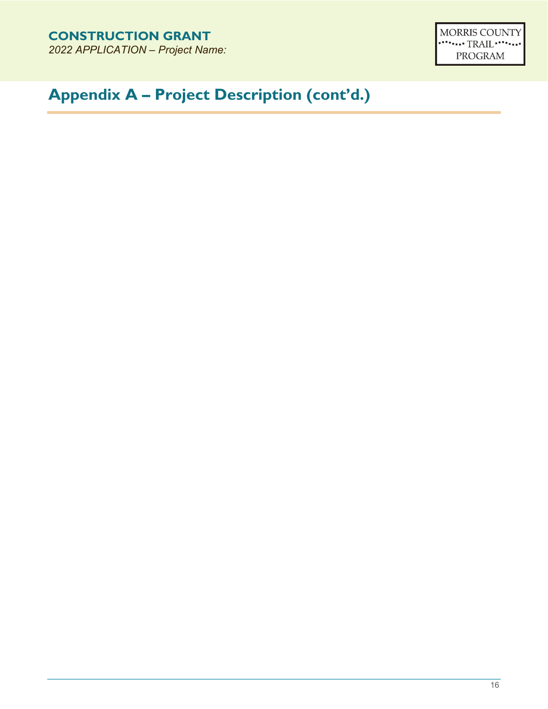MORRIS COUNTY PROGRAM

# **Appendix A – Project Description (cont'd.)**